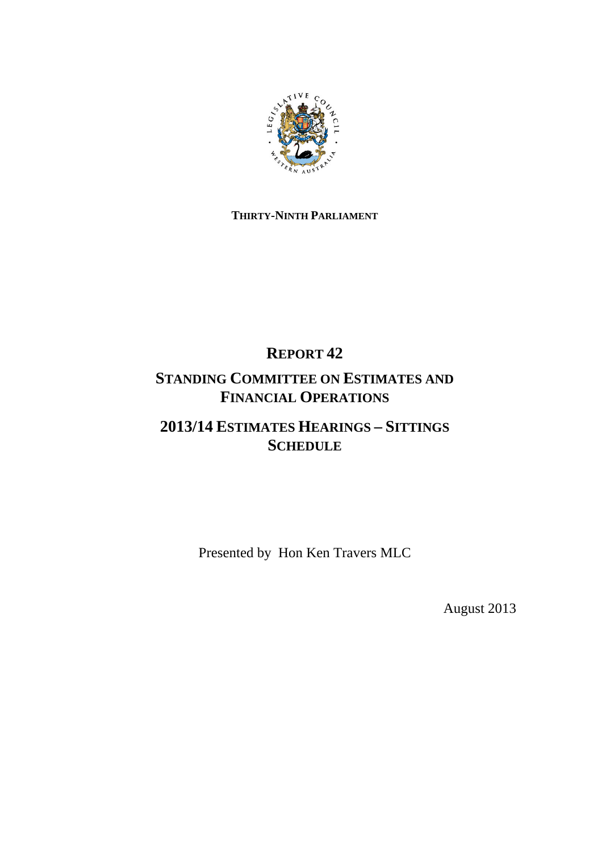

# **THIRTY-NINTH PARLIAMENT**

# **REPORT 42**

# **STANDING COMMITTEE ON ESTIMATES AND FINANCIAL OPERATIONS**

# **2013/14 ESTIMATES HEARINGS – SITTINGS SCHEDULE**

Presented by Hon Ken Travers MLC

August 2013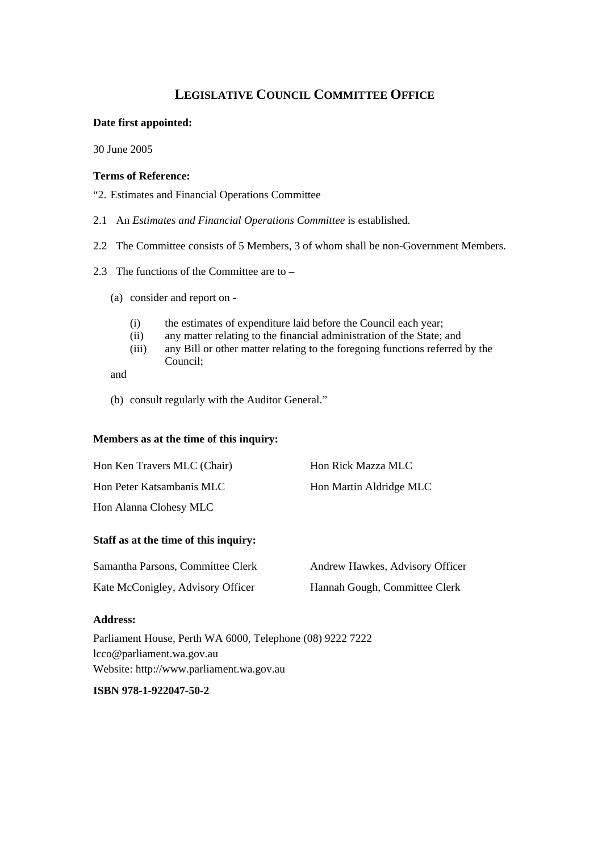# **LEGISLATIVE COUNCIL COMMITTEE OFFICE**

## **Date first appointed:**

30 June 2005

### **Terms of Reference:**

"2. Estimates and Financial Operations Committee

- 2.1 An *Estimates and Financial Operations Committee* is established.
- 2.2 The Committee consists of 5 Members, 3 of whom shall be non-Government Members.
- 2.3 The functions of the Committee are to
	- (a) consider and report on
		- (i) the estimates of expenditure laid before the Council each year;
		- (ii) any matter relating to the financial administration of the State; and
		- (iii) any Bill or other matter relating to the foregoing functions referred by the Council;

and

(b) consult regularly with the Auditor General."

# **Members as at the time of this inquiry:**

| Hon Ken Travers MLC (Chair) | Hon Rick Mazza MLC      |
|-----------------------------|-------------------------|
| Hon Peter Katsambanis MLC   | Hon Martin Aldridge MLC |
| Hon Alanna Clohesy MLC      |                         |

## **Staff as at the time of this inquiry:**

| Samantha Parsons, Committee Clerk | Andrew Hawkes, Advisory Officer |
|-----------------------------------|---------------------------------|
| Kate McConigley, Advisory Officer | Hannah Gough, Committee Clerk   |

#### **Address:**

Parliament House, Perth WA 6000, Telephone (08) 9222 7222 lcco@parliament.wa.gov.au Website: http://www.parliament.wa.gov.au

**ISBN 978-1-922047-50-2**